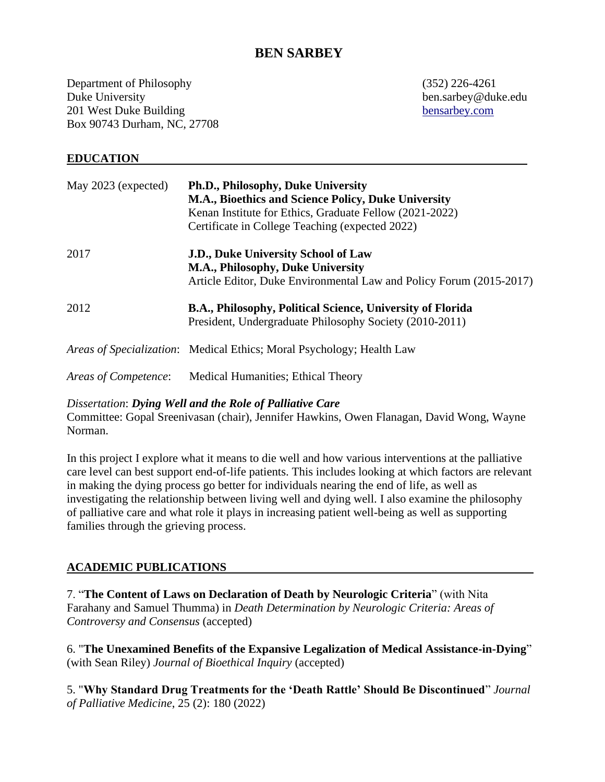# **BEN SARBEY**

Department of Philosophy (352) 226-4261 Duke University ben.sarbey@duke.edu 201 West Duke Building [bensarbey.com](https://scholars.duke.edu/person/ben.sarbey) Box 90743 Durham, NC, 27708

### **EDUCATION**

| May 2023 (expected)  | Ph.D., Philosophy, Duke University<br>M.A., Bioethics and Science Policy, Duke University<br>Kenan Institute for Ethics, Graduate Fellow (2021-2022)<br>Certificate in College Teaching (expected 2022) |
|----------------------|---------------------------------------------------------------------------------------------------------------------------------------------------------------------------------------------------------|
| 2017                 | <b>J.D., Duke University School of Law</b><br>M.A., Philosophy, Duke University<br>Article Editor, Duke Environmental Law and Policy Forum (2015-2017)                                                  |
| 2012                 | B.A., Philosophy, Political Science, University of Florida<br>President, Undergraduate Philosophy Society (2010-2011)                                                                                   |
|                      | <i>Areas of Specialization:</i> Medical Ethics; Moral Psychology; Health Law                                                                                                                            |
| Areas of Competence: | Medical Humanities; Ethical Theory                                                                                                                                                                      |

### *Dissertation*: *Dying Well and the Role of Palliative Care*

Committee: Gopal Sreenivasan (chair), Jennifer Hawkins, Owen Flanagan, David Wong, Wayne Norman.

In this project I explore what it means to die well and how various interventions at the palliative care level can best support end-of-life patients. This includes looking at which factors are relevant in making the dying process go better for individuals nearing the end of life, as well as investigating the relationship between living well and dying well. I also examine the philosophy of palliative care and what role it plays in increasing patient well-being as well as supporting families through the grieving process.

### **ACADEMIC PUBLICATIONS**

7. "**The Content of Laws on Declaration of Death by Neurologic Criteria**" (with Nita Farahany and Samuel Thumma) in *Death Determination by Neurologic Criteria: Areas of Controversy and Consensus* (accepted)

6. "**The Unexamined Benefits of the Expansive Legalization of Medical Assistance-in-Dying**" (with Sean Riley) *Journal of Bioethical Inquiry* (accepted)

5. "**Why Standard Drug Treatments for the 'Death Rattle' Should Be Discontinued**" *Journal of Palliative Medicine*, 25 (2): 180 (2022)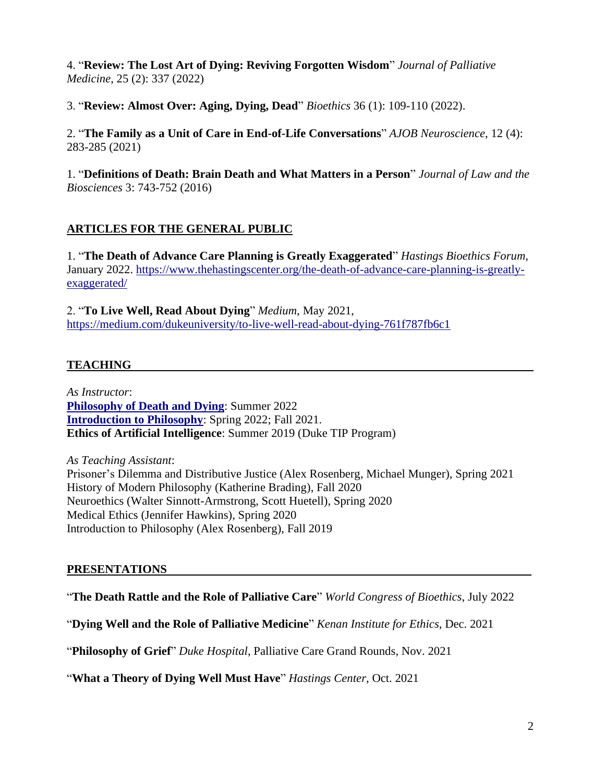4. "**Review: The Lost Art of Dying: Reviving Forgotten Wisdom**" *Journal of Palliative Medicine*, 25 (2): 337 (2022)

3. "**Review: Almost Over: Aging, Dying, Dead**" *Bioethics* 36 (1): 109-110 (2022).

2. "**The Family as a Unit of Care in End-of-Life Conversations**" *AJOB Neuroscience*, 12 (4): 283-285 (2021)

1. "**Definitions of Death: Brain Death and What Matters in a Person**" *Journal of Law and the Biosciences* 3: 743-752 (2016)

## **ARTICLES FOR THE GENERAL PUBLIC**

1. "**The Death of Advance Care Planning is Greatly Exaggerated**" *Hastings Bioethics Forum*, January 2022. [https://www.thehastingscenter.org/the-death-of-advance-care-planning-is-greatly](https://www.thehastingscenter.org/the-death-of-advance-care-planning-is-greatly-exaggerated/)[exaggerated/](https://www.thehastingscenter.org/the-death-of-advance-care-planning-is-greatly-exaggerated/)

2. "**To Live Well, Read About Dying**" *Medium*, May 2021, <https://medium.com/dukeuniversity/to-live-well-read-about-dying-761f787fb6c1>

## **TEACHING**

*As Instructor*: **[Philosophy of Death and Dying](https://bea8be96-c539-4e35-b4a7-0dc3350d3799.filesusr.com/ugd/db6318_ffbd7a72fa8047158e784a0104821f04.pdf)**: Summer 2022 **[Introduction to Philosophy](https://www.bensarbey.com/_files/ugd/db6318_f09e72405fb947a3ae6837a6a29bf130.pdf)**: Spring 2022; Fall 2021. **Ethics of Artificial Intelligence**: Summer 2019 (Duke TIP Program)

*As Teaching Assistant*: Prisoner's Dilemma and Distributive Justice (Alex Rosenberg, Michael Munger), Spring 2021 History of Modern Philosophy (Katherine Brading), Fall 2020 Neuroethics (Walter Sinnott-Armstrong, Scott Huetell), Spring 2020 Medical Ethics (Jennifer Hawkins), Spring 2020 Introduction to Philosophy (Alex Rosenberg), Fall 2019

### **PRESENTATIONS**

"**The Death Rattle and the Role of Palliative Care**" *World Congress of Bioethics*, July 2022

"**Dying Well and the Role of Palliative Medicine**" *Kenan Institute for Ethics*, Dec. 2021

"**Philosophy of Grief**" *Duke Hospital*, Palliative Care Grand Rounds, Nov. 2021

"**What a Theory of Dying Well Must Have**" *Hastings Center*, Oct. 2021